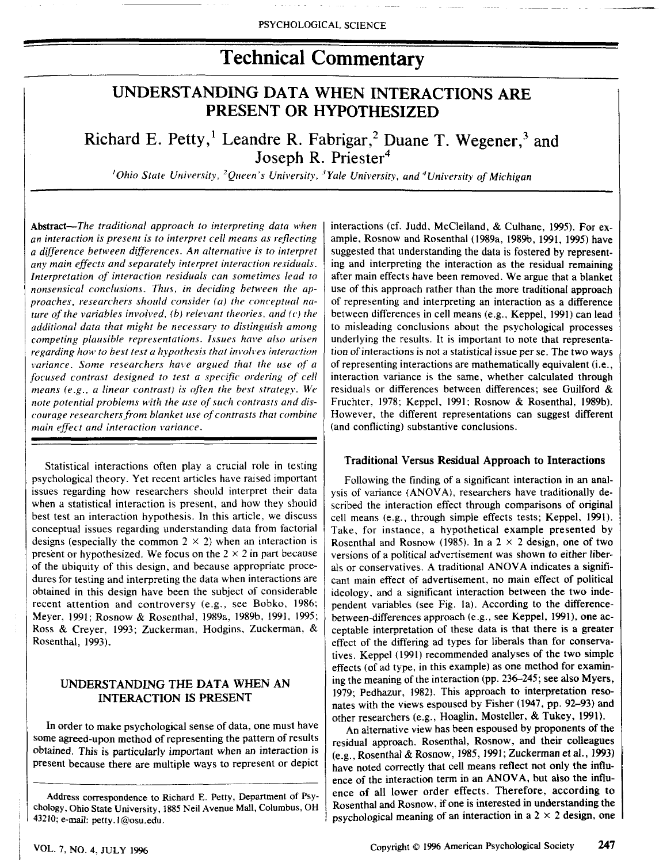# **Technical Commentary**

# UNDERSTANDING DATA WHEN INTERACTIONS ARE PRESENT OR HYPOTHESIZED

Richard E. Petty,<sup>1</sup> Leandre R. Fabrigar,<sup>2</sup> Duane T. Wegener,<sup>3</sup> and Joseph R. Priester<sup>4</sup>

*'Ohio State University, ^Queen's University, ''Yale University, and''University of Michigan*

Abstract—*The traditional approach lo interpreting data when an interaction is present is to interpret cell means as reflecting a difference between differences. An alternative is to interpret* any main effects and separately interpret interaction residuals. *Interpretation of interaction residuals can sometimes lead to nonsensical conclusions. Thus, in deciding between the approaches, researchers should consider (a) the conceptual nature of the variables involved, (b) relevant theories, and (c) the additional data that might be necessary to distinguish among competing plausible representations. Issues have also arisen regarding how to best test a hypothesis that involves interaction variance. Some researchers have argued that the use of a focused contrast designed to test a specific ordering of cell means (e.g., a linear contrast} is often the best strategy. We note potential problems with the use of such contrasts and discourage researchers from blanket use of contrasts that combine main effect and interaction variance.*

Statistical interactions often play a crucial role in testing psychological theory. Yet recent articles have raised important issues regarding how researchers should interpret their data when a statistical interaction is present, and how they should best test an interaction hypothesis. In this article, we discuss conceptual issues regarding understanding data from factorial designs (especially the common  $2 \times 2$ ) when an interaction is present or hypothesized. We focus on the  $2 \times 2$  in part because of the ubiquity of this design, and because appropriate procedures for testing and interpreting the data when interactions are obtained in this design have been the subject of considerable recent attention and controversy (e.g., see Bobko, 1986; Meyer, ]991; Rosnow & Rosenthal, 1989a, 1989b, 1991, 1995; Ross & Creyer, 1993; Zuckerman, Hodgins, Zuckerman, & Rosenthal, 1993),

# UNDERSTANDING THE **DATA** WHEN AN **INTERACTION IS PRESENT**

In order to make psychological sense of data, one must have some agreed-upon method of representing the pattern of results obtained. This is particularly important when an interaction is present because there are multiple ways to represent or depict

interactions (cf. Judd, McClelland, & Culhane, 1995). For example, Rosnow and Rosenthal (1989a, 1989b, 1991, 1995) have suggested that understanding the data is fostered by representing and interpreting the interaction as the residual remaining after main effects have been removed. We argue that a blanket use of this approach rather than the more traditional approach of representing and interpreting an interaction as a difference between differences in cell means (e.g., Keppel, 1991) can lead to misleading conclusions about the psychological processes underlying the results. It is important to note that representation of interactions is not a statistical issue per se. The two ways of representing interactions are mathematically equivalent (i.e., interaction variance is the same, whether calculated through residuals or differences between differences; see Guilford & Fruchter, 1978; Keppel, 1991; Rosnow & Rosenthal, 1989b). However, the different representations can suggest different (and conflicting) substantive conclusions.

#### Traditional Versus Residual Approach to Interactions

Following the finding of a significant interaction in an analysis of variance (ANOVA), researchers have traditionally described the interaction effect through comparisons of original cell means (e.g., through simple effects tests; Keppel, 1991). Take, for instance, a hypothetical example presented by Rosenthal and Rosnow (1985). In a  $2 \times 2$  design, one of two versions of a political advertisement was shown to either liberals or conservatives. A traditional ANOVA indicates a significant main effect of advertisement, no main effect of political ideology, and a significant interaction between the two independent variables (see Fig. la). According to the differencebetween-differences approach (e.g., see Keppel, 1991), one acceptable interpretation of these data is that there is a greater effect of the differing ad types for liberals than for conservatives. Keppel (1991) recommended analyses of the two simple effects (of ad type, in this example) as one method for examining the meaning of the interaction (pp. 236-245; see also Myers, 1979; Pedhazur, 1982). This approach to interpretation resonates with the views espoused by Fisher (1947, pp. 92-93) and other researchers (e.g., Hoaglin, Mosteller, & Tukey, 1991).

An alternative view has been espoused by proponents of the residual approach. Rosenthal, Rosnow, and their colleagues (e,g., Rosenthal *&* Rosnow, J985,1991; Zuckerman et al,, 1993) have noted correctly that cell means reflect not only the influence of the interaction term in an ANOVA, but also the influence of all lower order effects. Therefore, according to Rosenthal and Rosnow, if one is interested in understanding the psychological meaning of an interaction in a  $2 \times 2$  design, one

Address correspondence to Richard E. Petty, Department of Psychology, Ohio State University, 1885 Neil Avenue Mall, Columbus, OH 43210; e-mail: petty.1@osu.edu.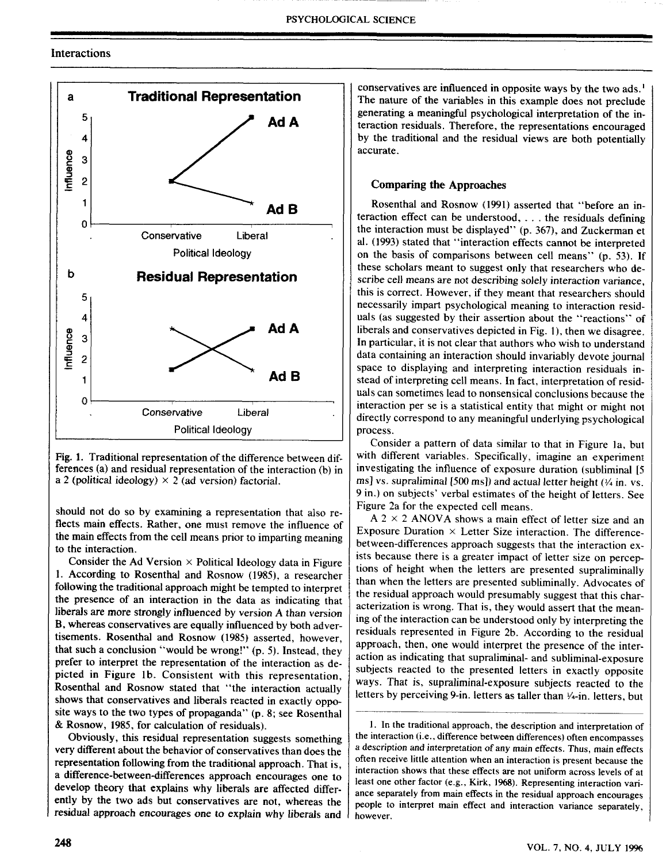### Interactions



Fig. 1, Traditional representation of the difference between differences (a) and residual representation of the interaction (b) in a 2 (political ideology)  $\times$  2 (ad version) factorial.

should not do so by examining a representation that also reflects main effects. Rather, one must remove the infiuence of the main effects from the cell means prior to imparting meaning to the interaction.

Consider the Ad Version  $\times$  Political Ideology data in Figure 1. According to Rosenthal and Rosnow (1985), a researcher following the traditional approach might be tempted to interpret the presence of an interaction in the data as indicating that liberals are more strongly influenced by version A than version B, whereas conservatives are equally influenced by both advertisements. Rosenthal and Rosnow (1985) asserted, however, that such a conclusion "would be wrong!" (p. 5). Instead, they prefer to interpret the representation of the interaction as depicted in Figure lb. Consistent with this representation, Rosenthal and Rosnow stated that "the interaction actually shows that conservatives and liberals reacted in exactly opposite ways to the two types of propaganda" (p. 8; see Rosenthal & Rosnow, 1985, for calculation of residuals).

Obviously, this residual representation suggests something very different about the behavior of conservatives than does the representation following from the traditional approach. That is, a difference-between-differences approach encourages one to develop theory that explains why liberals are affected differently by the two ads but conservatives are not, whereas the residual approach encourages one to explain why liberals and conservatives are influenced in opposite ways by the two ads.' The nature of the variables in this example does not preclude generating a meaningful psychological interpretation of the interaction residuals. Therefore, the representations encouraged by the traditional and the residual views are both potentially accurate.

#### Comparing the Approaches

Rosenthal and Rosnow (1991) asserted that "before an interaction effect can be understood, , . . the residuals defining the interaction must be displayed" (p. 367), and Zuckerman et al. (1993) stated that "interaction effects cannot be interpreted on the basis of comparisons between cell means" (p, 53). If these scholars meant to suggest only that researchers who describe cell means are not describing solely interaction variance, this is correct. However, if they meant that researchers should necessarily impart psychological meaning to interaction residuals (as suggested by their assertion about the "reactions" of liberals and conservatives depicted in Fig. 1), then we disagree. In particular, it is not clear that authors who wish to understand data containing an interaction should invariably devote journal space to displaying and interpreting interaction residuals instead of interpreting cell means. In fact, interpretation of residuals can sometimes lead to nonsensical conclusions because the interaction per se is a statistical entity that might or might not directly correspond to any meaningful underlying psychological process.

Consider a pattern of data similar to that in Figure la, but with different variables. Specifically, imagine an experiment investigating the influence of exposure duration (subliminal [5] ms] vs. supraliminal [500 ms]) and actual letter height *(Vi* in. vs. 9 in.) on subjects' verbal estimates of the height of letters. See Figure 2a for the expected cell means.

 $A$  2  $\times$  2 ANOVA shows a main effect of letter size and an Exposure Duration  $\times$  Letter Size interaction. The differencebetween-differences approach suggests that the interaction exists because there is a greater impact of letter size on perceptions of height when the letters are presented supraliminally than when the letters are presented subliminally. Advocates of the residual approach would presumably suggest that this characterization is wrong. That is, they would assert that the meaning of the interaction can be understood only by interpreting the residuals represented in Figure 2b. According to the residual approach, then, one would interpret the presence of the interaction as indicating that supraliminal- and subliminal-exposure subjects reacted to the presented letters in exactly opposite ways. That is, supraliminal-exposure subjects reacted to the letters by perceiving 9-in. letters as taller than  $\frac{1}{4}$ -in. letters, but

1. In the traditional approach, the description and interpretation of the interaction (i.e., difference between differences) often encompasses a description and interpretation of any main effects. Thus, main effects often receive little attention when an interaction is present because the interaction shows that these effects are not uniform across levels of at least one other factor (e.g.. Kirk, 1968). Representing interaction variance separately from main effects in the residual approach encourages people to interpret main effect and interaction variance separately, however.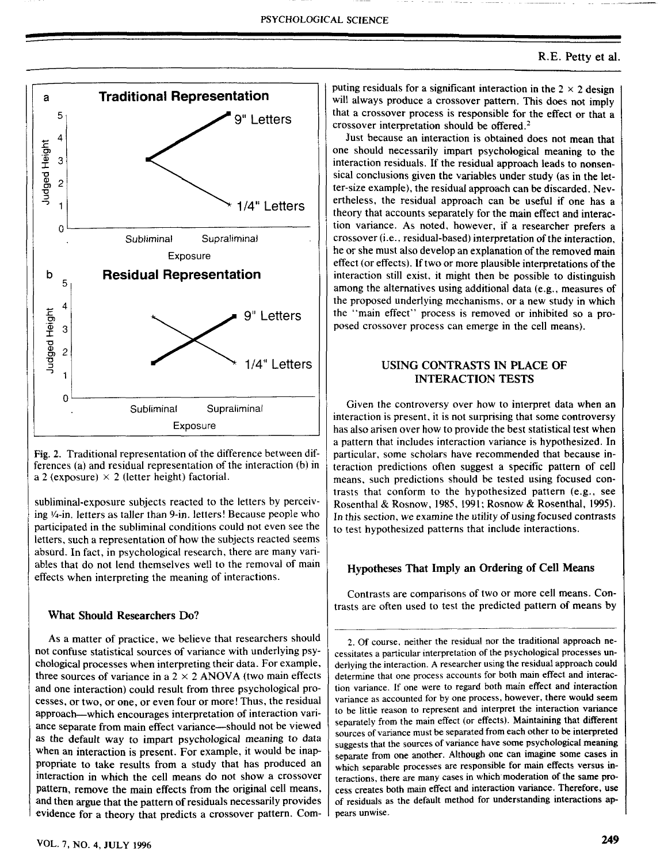

Fig. 2. Traditional representation of the difference between differences (a) and residual representation of the interaction (b) in a 2 (exposure)  $\times$  2 (letter height) factorial.

subliminal-exposure subjects reacted to the letters by perceiving 1/4-in. letters as taller than 9-in. letters! Because people who participated in the subliminal conditions could not even see the letters, such a representation of how the subjects reacted seems absurd. In fact, in psychological research, there are many variables that do not lend themselves well to the removal of main effects when interpreting the meaning of interactions.

#### **What Should Researchers Do?**

As a matter of practice, we believe that researchers should not confuse statistical sources of variance with underlying psychological processes when interpreting their data. For example, three sources of variance in a  $2 \times 2$  ANOVA (two main effects and one interaction) could result from three psychological processes, or two, or one, or even four or more! Thus, the residual approach—which encourages interpretation of interaction variance separate from main effect variance—should not be viewed as the default way to impart psychological meaning to data when an interaction is present. For example, it would be inappropriate to take results from a study that has produced an interaction in which the cell means do not show a crossover pattem, remove the main effects from the original cell means, and then argue that the pattem of residuals necessarily provides evidence for a theory that predicts a crossover pattern. Computing residuals for a significant interaction in the  $2 \times 2$  design will always produce a crossover pattern. This does not imply that a crossover process is responsible for the effect or that a crossover interpretation should be offered. $2$ 

Just because an interaction is obtained does not mean that one should necessarily impart psychological meaning to the interaction residuals. If the residual approach leads to nonsensical conclusions given the variables under study (as in the letter-size example), the residual approach can be discarded. Nevertheless, the residual approach can be useful if one has a theory that accounts separately for the main effect and interaction variance. As noted, however, if a researcher prefers a crossover (i.e., residual-based) interpretation of the interaction, he or she must also develop an explanation of the removed main effect (or effects). If two or more plausible interpretations of the interaction still exist, it might then be possible to distinguish among the alternatives using additional data (e.g., measures of the proposed underlying mechanisms, or a new study in which the "main effect" process is removed or inhibited so a proposed crossover process can emerge in the cell means).

# **USING CONTRASTS IN PLACE OF INTERACTION TESTS**

Given the controversy over how to interpret data when an interaction is present, it is not surprising that some controversy has also arisen over how to provide the best statistical test when a pattern that includes interaction variance is hypothesized. In particular, some scholars have recommended that because interaction predictions often suggest a specific pattern of cell means, such predictions should be tested using focused contrasts that conform to the hypothesized pattern (e.g., see Rosenthal & Rosnow, 1985, 1991; Rosnow & Rosenthal, 1995). In this section, we examine the utility of using focused contrasts to test hypothesized patterns that include interactions.

#### **Hypotheses That Imply an Ordering of Cell Means**

Contrasts are comparisons of two or more cell means. Contrasts are often used to test the predicted pattem of means by

2. Of course, neither the residual nor the traditional approach necessitates a particular interpretation of the psychological processes underlying the interaction. A researcher using the residual approach could determine that one process accounts for both main effect and interaction variance. If one were to regard both main effect and interaction variance as accounted for by one process, however, there would seem to be little reason to represent and interpret the interaction variance separately from the main effect (or effects). Maintaining that different sources of variance must be separated from each other to be interpreted suggests that the sources of variance have some psychological meaning separate from one another. Although one can imagine some cases in which separable processes are responsible for main effects versus interactions, there are many cases in which moderation of the same process creates both main effect and interaction variance. Therefore, use of residuals as the default method for understanding interactions appears unwise.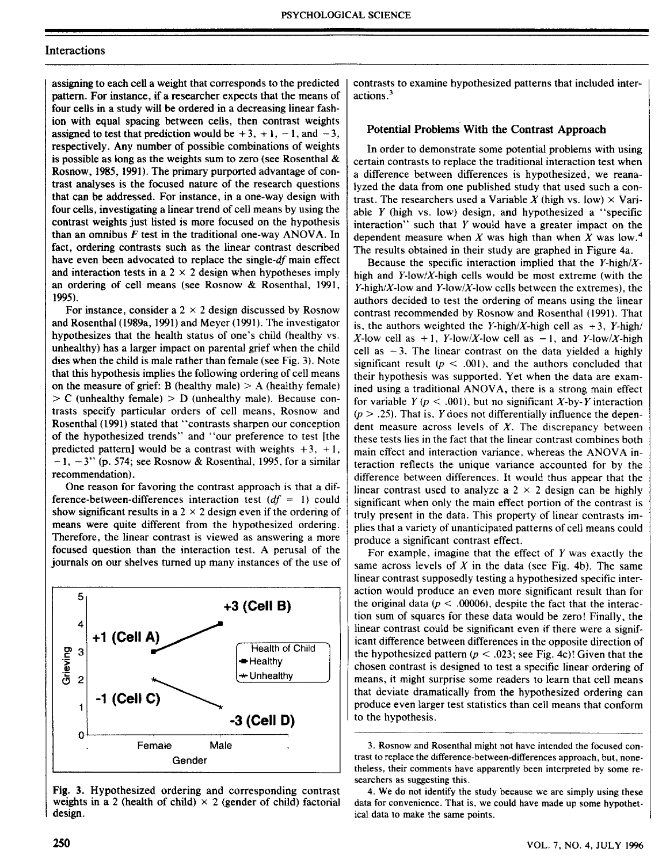## Interactions

assigning to each cell a weight that corresponds to the predicted pattem. For instance, if a researcher expects that the means of four cells in a study will be ordered in a decreasing linear fashion with equal spacing between cells, then contrast weights assigned to test that prediction would be  $+3$ ,  $+1$ ,  $-1$ , and  $-3$ , respectively. Any number of possible combinations of weights is possible as long as the weights sum to zero (see Rosenthal  $\&$ Rosnow, 1985,1991). The primary purported advantage of contrast analyses is the focused nature of the research questions that can be addressed. For instance, in a one-way design with four cells, investigating a linear trend of cell means by using the contrast weights just listed is more focused on the hypothesis than an omnibus *F* test in the traditional one-way ANOVA. In fact, ordering contrasts such as the linear contrast described have even been advocated to replace the *single-df* main effect and interaction tests in a  $2 \times 2$  design when hypotheses imply an ordering of cell means (see Rosnow & Rosenthal, 1991, 1995).

For instance, consider a  $2 \times 2$  design discussed by Rosnow and Rosenthal (1989a, 1991) and Meyer (1991). The investigator hypothesizes that the health status of one's child (healthy vs. unhealthy) has a larger impact on parental grief when the child dies when the child is male rather than female (see Fig. 3). Note that this hypothesis implies the following ordering of cell means on the measure of grief: B (healthy male)  $> A$  (healthy female)  $> C$  (unhealthy female)  $> D$  (unhealthy male). Because contrasts specify particular orders of cell means, Rosnow and Rosenthal (1991) stated that "contrasts sharpen our conception of the hypothesized trends" and "our preference to test [the predicted pattern] would be a contrast with weights  $+3$ ,  $+1$ ,  $-1$ ,  $-3$ " (p. 574; see Rosnow & Rosenthal, 1995, for a similar recommendation).

One reason for favoring the contrast approach is that a difference-between-differences interaction test *(df* = 1) could show significant results in a  $2 \times 2$  design even if the ordering of means were quite different from the hypothesized ordering. Therefore, the linear contrast is viewed as answering a more focused question than the interaction test. A perusal of the journals on our shelves tumed up many instances of the use of



Fig. 3. Hypothesized ordering and corresponding contrast weights in a 2 (health of child)  $\times$  2 (gender of child) factorial design.

contrasts to examine hypothesized pattems that included interactions.

### Potential Problems With the Contrast Approach

In order to demonstrate some potential problems with using certain contrasts to replace the traditional interaction test when a difference between differences is hypothesized, we reanalyzed the data from one published study that used such a contrast. The researchers used a Variable X (high vs. low)  $\times$  Variable *Y* (high vs. low) design, and hypothesized a "specific interaction" such that *Y* would have a greater impact on the dependent measure when *X* was high than when *X* was low." The results obtained in their study are graphed in Figure 4a.

Because the specific interaction implied that the *Y-high/X*high and  $Y$ -low/X-high cells would be most extreme (with the Y-high/X-low and Y-low/X-low cells between the extremes), the authors decided to test the ordering of means using the linear contrast recommended by Rosnow and Rosenthal (1991). That is, the authors weighted the Y-high/X-high cell as  $+3$ , Y-high/  $X$ -low cell as  $+1$ , Y-low/X-low cell as  $-1$ , and Y-low/X-high cell as  $-3$ . The linear contrast on the data vielded a highly significant result ( $p < .001$ ), and the authors concluded that their hypothesis was supported. Yet when the data are examined using a traditional ANOVA, there is a strong main effect for variable  $Y (p < .001)$ , but no significant  $X$ -by-Y interaction  $(p > .25)$ . That is, Y does not differentially influence the dependent measure across levels of *X.* The discrepancy between these tests lies in the fact that the linear contrast combines both main effect and interaction variance, whereas the ANOVA interaction reflects the unique variance accounted for by the difference between differences. It would thus appear that the linear contrast used to analyze a  $2 \times 2$  design can be highly significant when only the main effect portion of the contrast is truly present in the data. This property of linear contrasts implies that a variety of unanticipated patterns of cell means could produce a significant contrast effect.

For example, imagine that the effect of *Y* was exactly the same across levels of *X* in the data (see Fig. 4b). The same linear contrast supposedly testing a hypothesized specific interaction would produce an even more significant result than for the original data ( $p < .00006$ ), despite the fact that the interaction sum of squares for these data would be zero! Finally, the linear contrast could be significant even if there were a significant difference between differences in the opposite direction of the hypothesized pattern *(p <* .023; see Fig. 4c)! Given that the chosen contrast is designed to test a specific linear ordering of means, it might surprise some readers to learn that cell means that deviate dramatically from the hypothesized ordering can produce even larger test statistics than cell means that conform to the hypothesis.

3. Rosnow and Rosenthal might not have intended the focused contrast to replace the difference-between-differences approach, but, nonetheless, their comments have apparently been interpreted by some researchers as suggesting this.

4. We do not identify the study because we are simpiy using these data for convenience. That is, we could have made up some hypothetical data to make the same points.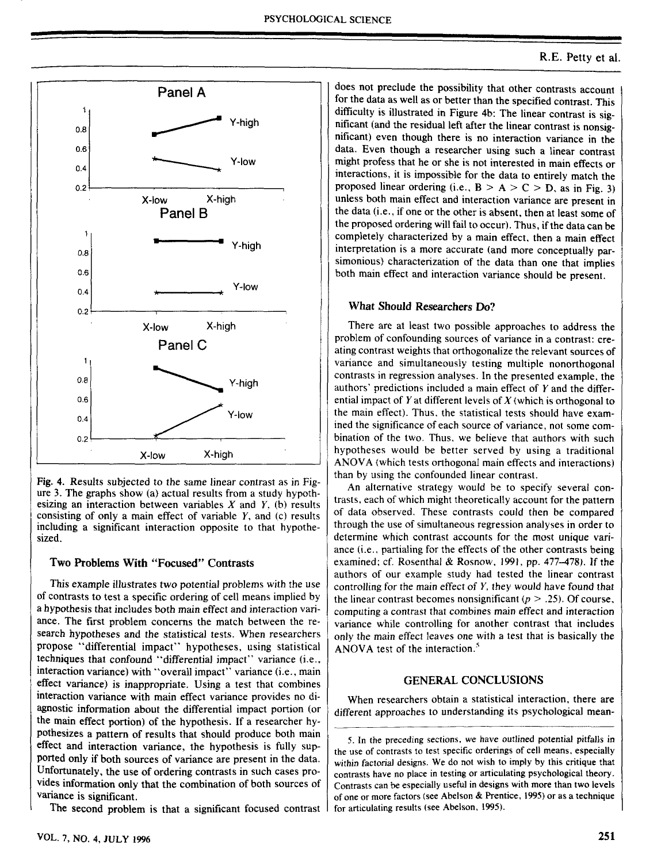

Fig. 4. Results subjected to the same linear contrast as in Figure 3. The graphs show (a) actual results from a study hypothesizing an interaction between variables  $X$  and  $Y$ , (b) results consisting of only a main effect of variable *Y,* and (c) results including a significant interaction opposite to that hypothesized.

### Two Problems With "Focused" Contrasts

This example illustrates two potential problems with the use of contrasts to test a specific ordering of cell means implied by a hypothesis that includes both main effect and interaction variance. The first problem concerns the match between the research hypotheses and the statistical tests. When researchers propose "differential impact" hypotheses, using statistical techniques that confound "differentia] impact" variance (i.e., interaction variance) with "overall impact" variance (i.e., main effect variance) is inappropriate. Using a test that combines interaction variance with main effect variance provides no diagnostic information about the differential impact portion (or the main effect portion) of the hypothesis. If a researcher hypothesizes a pattem of results that should produce both main effect and interaction variance, the hypothesis is fully supported only if both sources of variance are present in the data. Unfortunately, the use of ordering contrasts in such cases provides information only that the combination of both sources of variance is significant.

The second problem is that a significant focused contrast

does not preclude the possibility that other contrasts account for the data as well as or better than the specified contrast. This difficulty is illustrated in Figure 4b: The linear contrast is significant (and tbe residual left after the linear contrast is nonsignificant) even though there is no interaction variance in the data. Even though a researcher using such a linear contrast might profess that he or she is not interested in main effects or interactions, it is impossible for the data to entirely match the proposed linear ordering (i.e.,  $B > A > C > D$ , as in Fig. 3) unless both main effect and interaction variance are present in the data (i.e.. if one or the other is absent, then at least some of the proposed ordering will fail to occur). Thus, if the data can be completely characterized by a main effect, then a main effect interpretation is a more accurate (and more conceptualiy parsimonious) characterization of the data than one that implies both main effect and interaction variance should be present.

#### What Should Researchers Do?

There are at least two possible approaches to address the problem of confounding sources of variance in a contrast: creating contrast weights that orthogonalize the relevant sources of variance and simultaneously testing multiple nonorthogonal contrasts in regression analyses. In the presented example, the authors' predictions included a main effect of *Y* and the differential impact of *Y* at different levels of *X* (which is orthogonal to the main effect). Thus, the statistical tests should have examined the significance of each source of variance, not some combination of the two. Thus, we believe that authors with such hypotheses would be better served by using a traditional ANOVA (which tests orthogonal main effects and interactions) than by using the confounded linear contrast.

An alternative strategy would be to specify several contrasts, each of which might theoretically account for the pattern of data observed. These contrasts could then be compared through the use of simultaneous regression analyses in order to determine which contrast accounts for the most unique variance (i.e.. partialing for the effects of the other contrasts being examined; cf. Rosenthal & Rosnow, 1991, pp. *A11-A1%).* If the authors of our example study had tested the linear contrast controlling for the main effect of *Y,* they would have found that the linear contrast becomes nonsignificant ( $p > .25$ ). Of course, computing a contrast that combines main effect and interaction variance while controlling for another contrast that includes only the main effect leaves one with a test that is basically tbe ANOVA test of the interaction. $<sup>5</sup>$ </sup>

### **GENERAL CONCLUSIONS**

When researchers obtain a statistical interaction, there are different approaches to understanding its psychological mean-

<sup>5.</sup> In the preceding sections, we have outlined potential pitfalls in the use of contrasts to test specific orderings of cell means, especially within factorial designs. We do not wish to imply by this critique that contrasts have no place in testing or articulating psychological theory. Contrasts can be especially useful in designs with more than two levels of one or more factors (see Abelson & Prentice, 1995) or as a technique for articulating results (see Abelson, 1995).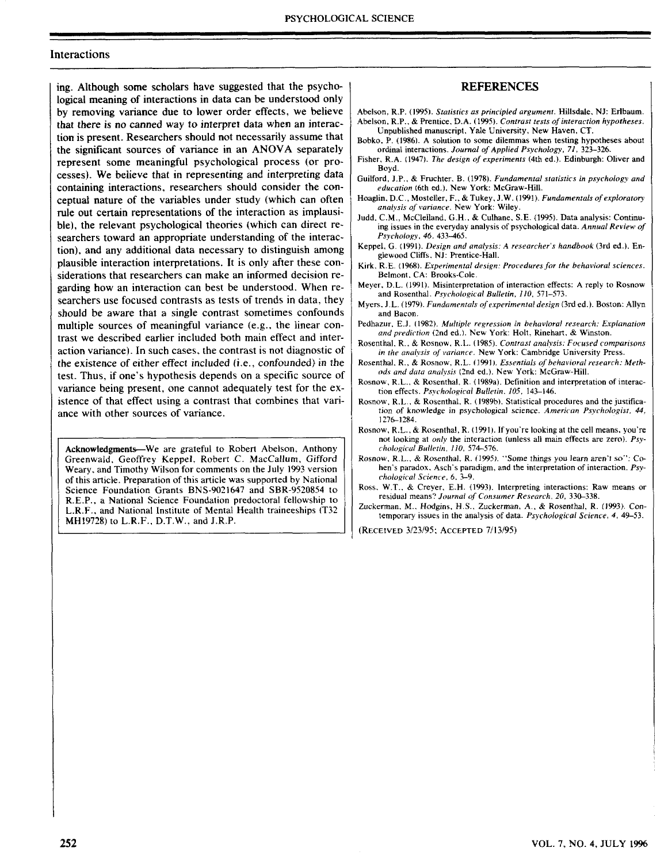#### Interactions

ing. Although some scholars have suggested that the psychological meaning of interactions in data can be understood only by removing variance due to lower order effects, we believe that there is no canned way to interpret data when an interaction is present. Researchers should not necessarily assume that the significant sources of variance in an ANOVA separately represent some meaningful psychological process (or processes). We believe that in representing and interpreting data containing interactions, researchers should consider the conceptual nature of the variables under study (which can often rule out certain representations of the interaction as implausible), the relevant psychological theories (which can direct researchers toward an appropriate understanding of the interaction), and any additional data necessary to distinguish among plausible interaction interpretations. It is only after these considerations that researchers can make an informed decision regarding how an interaction can best be understood. When researchers use focused contrasts as tests of trends in data, they should be aware that a single contrast sometimes confounds multiple sources of meaningful variance (e.g., the linear contrast we described earlier included both main effect and interaction variance). In such cases, the contrast is not diagnostic of the existence of either effect included (i.e., confounded) in the test. Thus, if one's hypothesis depends on a specific source of variance being present, one cannot adequately test for the existence of that effect using a contrast that combines that variance with other sources of variance.

**Acknowledgments**—We are grateful to Robert Abelson. Anthony Greenwaid. Geoffrey Keppel, Robert *C.* MacCallum. Gifford Weary, and Timothy Wilson for comments on the July 1993 version of this article. Preparation of this article was supported by National Science Foundation Grants BNS-9021647 and SBR-9520854 to R.E.P., a National Science Foundation predoctoral fellowship to L.R.F.. and National Institute of Mental Health traineeships (T32 MH!9728) to L.R.F.. D.T.W., and J.R.P.

#### REFERENCES

- Abelson, R.P. (1995). *Statistics as principled argument,* Hillsdaie. NJ: Eribaum. Abelson. R.P.. *&* Prentice. D.A. (1995). *Contrast tests of interaction hypotheses.* Unpublished manuscript. Yale University, New Haven, CT.
- Bobko. P. (1986). A solution to some dilemmas when testing hypotheses about ordinal interactions. *Journal of Applied Psychology, 71,* 323-326.
- Fisher. R.A. (1947). *The design of experiments* (4th ed.). Edinburgh: Oliver and Boyd.
- Guilford, J.P.. & Fruchter. B. (1978). *Fundamental statistics in psychology and education* (6th ed.). New York: McGraw-Hill.
- Hoaglin. D.C, Mosteller. F., & Tukey. J.W. (1991). *Fundamentals of exploratory analysis of variance.* New York: Wiley.
- Judd, C.M., McClelland, G.H., & Culhane, S.E. (1995). Data analysis: Continuing issues in the everyday analysis of psychological data. *Annual Review of Psychology, 46,* 433-465.
- Keppel. G. (1991). *Design and analysis: A researcher s handbook* (3rd ed.). Englewood Cliffs. NJ: Prentice-Hall.
- Kirk. R.E. (1968). *Experimental design: Procedures for the behavioral sciences,* Belmont, CA: Brooks-Cole.
- Meyer, D.L. (1991). Misinterpretation of interaction effects: A reply to Rosnow and Rosenthal. *Psychological Bulletin, 110,* 571-573.
- Myers. J.L. (1979). Fundamentals of experimental design (3rd ed.). Boston: Allyn and Bacon.
- Pedhazur, E.J. (1982). *Multiple regression in behavioral research: Explanation and prediction* (2nd ed.). New York: Holt, Rinehart, *&* Winston.
- Rosenthal, R., & Rosnow, R.L. (1985). *Contrast analysis: Focused comparisons in the analysis of variance.* New York: Cambridge University Press,
- Rosenthal, R,, & Rosnow, R.L. (1991). *Essentials of behavioral research: Meth*ods and data analysis (2nd ed.). New York: McGraw-Hill.
- Rosnow, R.L., & Rosenthal, R. (1989a). Definition and interpretation of interaction effects. *Psychological Bulletin, 105,* 143-146,
- Rosnow, R.L., & Rosenthal, R. (1989b), Statistical procedures and the justification of knowledge in psychological science. *American Psychologist, 44,* 1276-1284,
- Rosnow, R.L., & Rosenthal, R. (1991). If you're looking at the cell means, you're not looking at *only* the interaction (unless all main effects are zero). *Psychological Buiieiin, IIO,* 574-576.
- Rosnow, R.L., & Rosenthal, R. (1995). "Some things you learn aren't so": Cohen's paradox, Asch's paradigm, and the interpretation of interaction. *Psychological Science, 6,* 3—9.
- Ross, W.T., & Creyer, E,H. (1993). Interpreting interactions: Raw means or residual means? Journal of Consumer Research, 20, 330-338.
- Zuckerman, M,, Hodgins. H.S., Zuckerman. A, *&* Rosentha), R. (1993), Contemporary issues in the analysis of data. *Psychological Science, 4,* 49-53,

(RECEIVED 3/23/95; ACCEPTED 7/13/95)